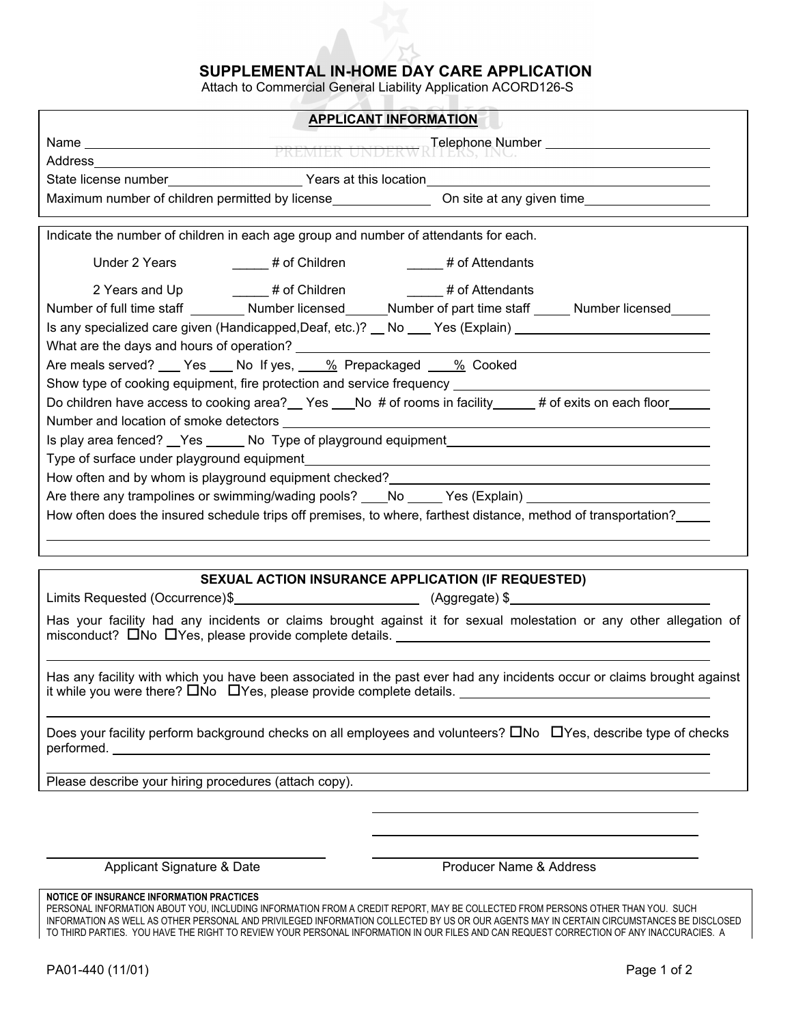## **SUPPLEMENTAL IN-HOME DAY CARE APPLICATION**

Attach to Commercial General Liability Application ACORD126-S

| <b>APPLICANT INFORMATION</b>                                                                                                                                                                                                  |  |
|-------------------------------------------------------------------------------------------------------------------------------------------------------------------------------------------------------------------------------|--|
|                                                                                                                                                                                                                               |  |
| Address                                                                                                                                                                                                                       |  |
|                                                                                                                                                                                                                               |  |
|                                                                                                                                                                                                                               |  |
| Indicate the number of children in each age group and number of attendants for each.                                                                                                                                          |  |
|                                                                                                                                                                                                                               |  |
| 2 Years and Up $\qquad \qquad \qquad \#$ of Children $\qquad \qquad \qquad \#$ of Attendants                                                                                                                                  |  |
| Number of full time staff _________ Number licensed_______Number of part time staff ______ Number licensed_____                                                                                                               |  |
| Is any specialized care given (Handicapped, Deaf, etc.)? No Yes (Explain) National Managem and Section 1.1 and                                                                                                                |  |
| What are the days and hours of operation? Department of the state of the state of the state of the state of the state of the state of the state of the state of the state of the state of the state of the state of the state |  |
| Are meals served? ___ Yes ___ No If yes, ___ % Prepackaged ___ % Cooked                                                                                                                                                       |  |
| Show type of cooking equipment, fire protection and service frequency ______________________________                                                                                                                          |  |
| Do children have access to cooking area? Yes No # of rooms in facility 4 and exits on each floor                                                                                                                              |  |
|                                                                                                                                                                                                                               |  |
|                                                                                                                                                                                                                               |  |
|                                                                                                                                                                                                                               |  |
|                                                                                                                                                                                                                               |  |
| Are there any trampolines or swimming/wading pools? ____No ______Yes (Explain)                                                                                                                                                |  |
| How often does the insured schedule trips off premises, to where, farthest distance, method of transportation?                                                                                                                |  |
|                                                                                                                                                                                                                               |  |
|                                                                                                                                                                                                                               |  |

## **SEXUAL ACTION INSURANCE APPLICATION (IF REQUESTED)**

Limits Requested (Occurrence) \$

Has your facility had any incidents or claims brought against it for sexual molestation or any other allegation of misconduct?  $\square$ No  $\square$ Yes, please provide complete details.

Has any facility with which you have been associated in the past ever had any incidents occur or claims brought against it while you were there?  $\Box$ No  $\Box$ Yes, please provide complete details.

Does your facility perform background checks on all employees and volunteers?  $\Box$ No  $\Box$ Yes, describe type of checks performed.

Please describe your hiring procedures (attach copy).

Applicant Signature & Date **Address** Producer Name & Address

**NOTICE OF INSURANCE INFORMATION PRACTICES** 

PERSONAL INFORMATION ABOUT YOU, INCLUDING INFORMATION FROM A CREDIT REPORT, MAY BE COLLECTED FROM PERSONS OTHER THAN YOU. SUCH INFORMATION AS WELL AS OTHER PERSONAL AND PRIVILEGED INFORMATION COLLECTED BY US OR OUR AGENTS MAY IN CERTAIN CIRCUMSTANCES BE DISCLOSED TO THIRD PARTIES. YOU HAVE THE RIGHT TO REVIEW YOUR PERSONAL INFORMATION IN OUR FILES AND CAN REQUEST CORRECTION OF ANY INACCURACIES. A